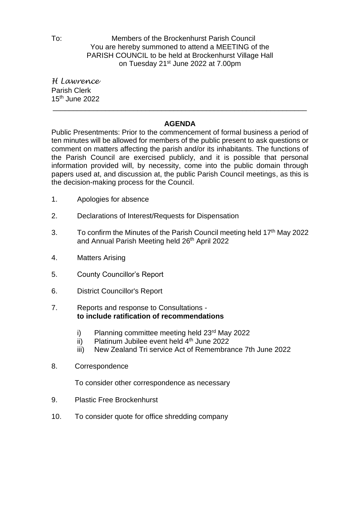To: Members of the Brockenhurst Parish Council You are hereby summoned to attend a MEETING of the PARISH COUNCIL to be held at Brockenhurst Village Hall on Tuesday 21<sup>st</sup> June 2022 at 7.00pm

*H Lawrence* Parish Clerk 15 th June 2022

## **AGENDA**

\_\_\_\_\_\_\_\_\_\_\_\_\_\_\_\_\_\_\_\_\_\_\_\_\_\_\_\_\_\_\_\_\_\_\_\_\_\_\_\_\_\_\_\_\_\_\_\_\_\_\_\_\_\_\_\_\_\_\_\_\_\_\_

Public Presentments: Prior to the commencement of formal business a period of ten minutes will be allowed for members of the public present to ask questions or comment on matters affecting the parish and/or its inhabitants. The functions of the Parish Council are exercised publicly, and it is possible that personal information provided will, by necessity, come into the public domain through papers used at, and discussion at, the public Parish Council meetings, as this is the decision-making process for the Council.

- 1. Apologies for absence
- 2. Declarations of Interest/Requests for Dispensation
- 3. To confirm the Minutes of the Parish Council meeting held 17<sup>th</sup> May 2022 and Annual Parish Meeting held 26<sup>th</sup> April 2022
- 4. Matters Arising
- 5. County Councillor's Report
- 6. District Councillor's Report
- 7. Reports and response to Consultations **to include ratification of recommendations**
	- i) Planning committee meeting held 23<sup>rd</sup> May 2022
	- ii) Platinum Jubilee event held  $4<sup>th</sup>$  June 2022
	- iii) New Zealand Tri service Act of Remembrance 7th June 2022
- 8. Correspondence

To consider other correspondence as necessary

- 9. Plastic Free Brockenhurst
- 10. To consider quote for office shredding company